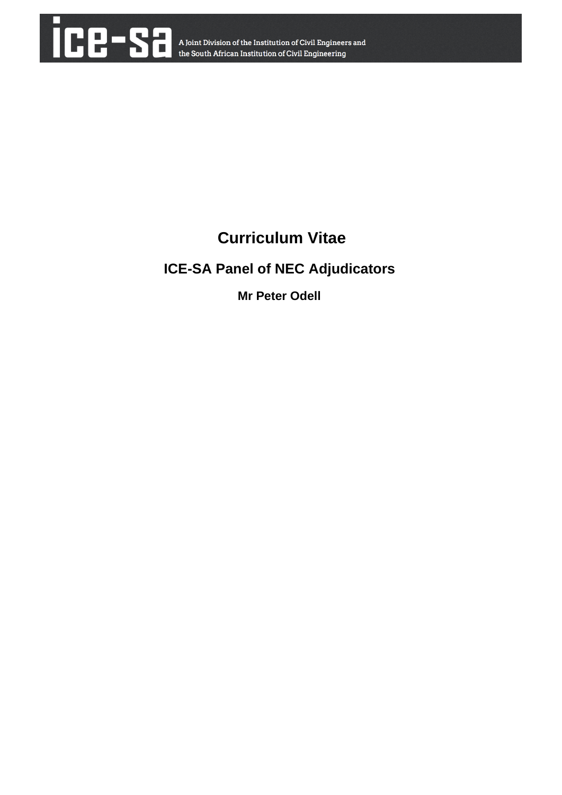

# **Curriculum Vitae**

# **ICE-SA Panel of NEC Adjudicators**

**Mr Peter Odell**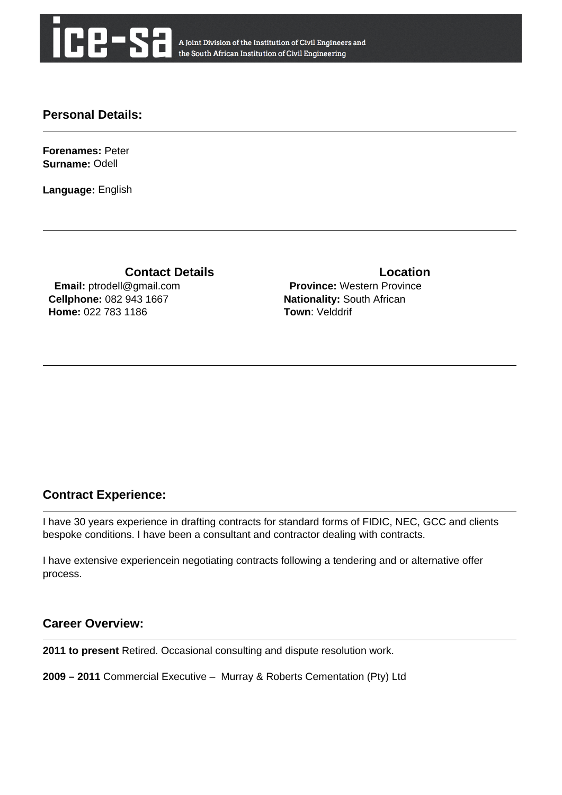

A Joint Division of the Institution of Civil Engineers and the South African Institution of Civil Engineering

## **Personal Details:**

**Forenames:** Peter **Surname:** Odell

**Language:** English

**Contact Details Contact Details Email:** ptrodell@gmail.com **Cellphone:** 082 943 1667 **Home:** 022 783 1186

 **Province:** Western Province **Nationality:** South African **Town**: Velddrif

# **Contract Experience:**

I have 30 years experience in drafting contracts for standard forms of FIDIC, NEC, GCC and clients bespoke conditions. I have been a consultant and contractor dealing with contracts.

I have extensive experiencein negotiating contracts following a tendering and or alternative offer process.

### **Career Overview:**

**2011 to present** Retired. Occasional consulting and dispute resolution work.

**2009 – 2011** Commercial Executive – Murray & Roberts Cementation (Pty) Ltd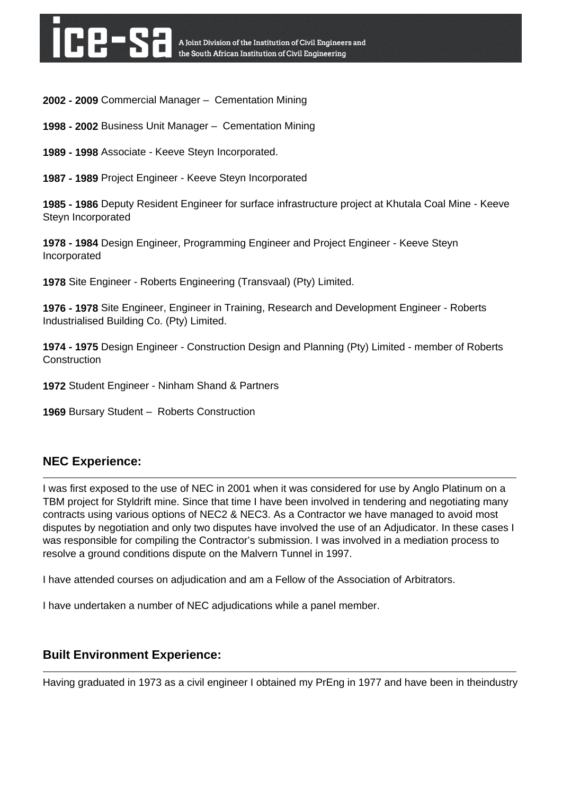**2002 - 2009** Commercial Manager – Cementation Mining

**1998 - 2002** Business Unit Manager – Cementation Mining

**1989 - 1998** Associate - Keeve Steyn Incorporated.

**1987 - 1989** Project Engineer - Keeve Steyn Incorporated

**1985 - 1986** Deputy Resident Engineer for surface infrastructure project at Khutala Coal Mine - Keeve Steyn Incorporated

**1978 - 1984** Design Engineer, Programming Engineer and Project Engineer - Keeve Steyn Incorporated

**1978** Site Engineer - Roberts Engineering (Transvaal) (Pty) Limited.

**1976 - 1978** Site Engineer, Engineer in Training, Research and Development Engineer - Roberts Industrialised Building Co. (Pty) Limited.

**1974 - 1975** Design Engineer - Construction Design and Planning (Pty) Limited - member of Roberts **Construction** 

**1972** Student Engineer - Ninham Shand & Partners

**1969** Bursary Student – Roberts Construction

### **NEC Experience:**

I was first exposed to the use of NEC in 2001 when it was considered for use by Anglo Platinum on a TBM project for Styldrift mine. Since that time I have been involved in tendering and negotiating many contracts using various options of NEC2 & NEC3. As a Contractor we have managed to avoid most disputes by negotiation and only two disputes have involved the use of an Adjudicator. In these cases I was responsible for compiling the Contractor's submission. I was involved in a mediation process to resolve a ground conditions dispute on the Malvern Tunnel in 1997.

I have attended courses on adjudication and am a Fellow of the Association of Arbitrators.

I have undertaken a number of NEC adjudications while a panel member.

### **Built Environment Experience:**

Having graduated in 1973 as a civil engineer I obtained my PrEng in 1977 and have been in theindustry